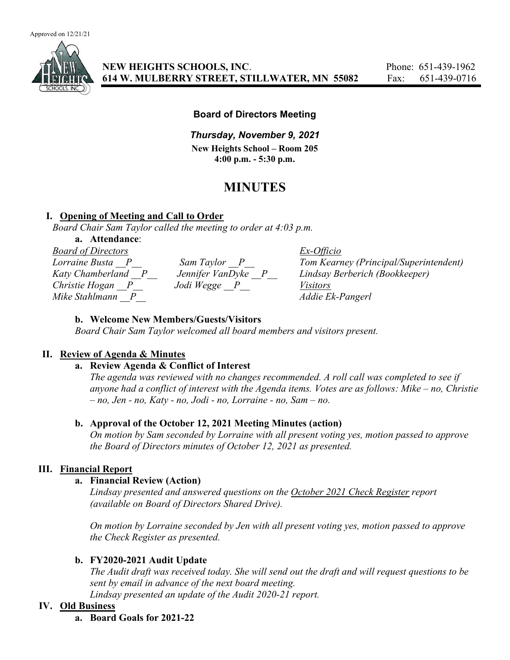

## Board of Directors Meeting

# Thursday, November 9, 2021

New Heights School – Room 205 4:00 p.m. - 5:30 p.m.

# MINUTES

## I. Opening of Meeting and Call to Order

Board Chair Sam Taylor called the meeting to order at 4:03 p.m.

#### a. Attendance:

| <b>Board of Directors</b> |                  | $Ex-Officio$                           |
|---------------------------|------------------|----------------------------------------|
| Lorraine Busta            | Sam Taylor P     | Tom Kearney (Principal/Superintendent) |
| Katy Chamberland P        | Jennifer VanDyke | Lindsay Berberich (Bookkeeper)         |
| Christie Hogan P          | Jodi Wegge P     | <i>Visitors</i>                        |
| Mike Stahlmann            |                  | Addie Ek-Pangerl                       |

#### b. Welcome New Members/Guests/Visitors

Board Chair Sam Taylor welcomed all board members and visitors present.

## II. Review of Agenda & Minutes

## a. Review Agenda & Conflict of Interest

The agenda was reviewed with no changes recommended. A roll call was completed to see if anyone had a conflict of interest with the Agenda items. Votes are as follows: Mike – no, Christie  $- no$ , Jen - no, Katy - no, Jodi - no, Lorraine - no, Sam  $- no$ .

## b. Approval of the October 12, 2021 Meeting Minutes (action)

On motion by Sam seconded by Lorraine with all present voting yes, motion passed to approve the Board of Directors minutes of October 12, 2021 as presented.

## III. Financial Report

#### a. Financial Review (Action)

Lindsay presented and answered questions on the October 2021 Check Register report (available on Board of Directors Shared Drive).

On motion by Lorraine seconded by Jen with all present voting yes, motion passed to approve the Check Register as presented.

## b. FY2020-2021 Audit Update

The Audit draft was received today. She will send out the draft and will request questions to be sent by email in advance of the next board meeting.

Lindsay presented an update of the Audit 2020-21 report.

## IV. Old Business

a. Board Goals for 2021-22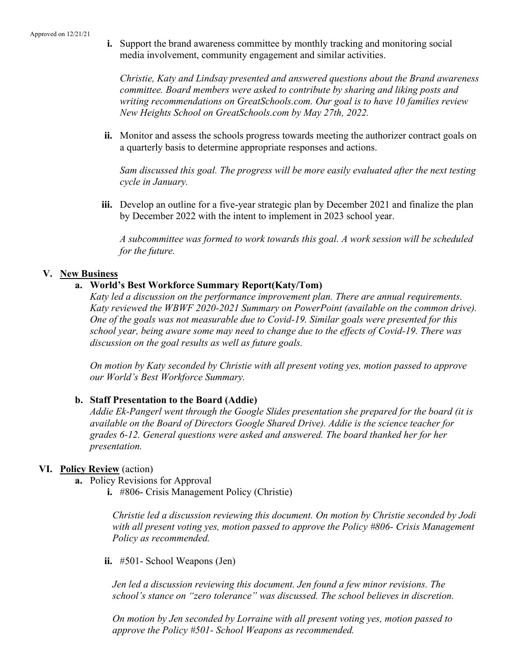i. Support the brand awareness committee by monthly tracking and monitoring social media involvement, community engagement and similar activities.

Christie, Katy and Lindsay presented and answered questions about the Brand awareness committee. Board members were asked to contribute by sharing and liking posts and writing recommendations on GreatSchools.com. Our goal is to have 10 families review New Heights School on GreatSchools.com by May 27th, 2022.

ii. Monitor and assess the schools progress towards meeting the authorizer contract goals on a quarterly basis to determine appropriate responses and actions.

Sam discussed this goal. The progress will be more easily evaluated after the next testing cycle in January.

iii. Develop an outline for a five-year strategic plan by December 2021 and finalize the plan by December 2022 with the intent to implement in 2023 school year.

A subcommittee was formed to work towards this goal. A work session will be scheduled for the future.

#### V. New Business

## a. World's Best Workforce Summary Report(Katy/Tom)

Katy led a discussion on the performance improvement plan. There are annual requirements. Katy reviewed the WBWF 2020-2021 Summary on PowerPoint (available on the common drive). One of the goals was not measurable due to Covid-19. Similar goals were presented for this school year, being aware some may need to change due to the effects of Covid-19. There was discussion on the goal results as well as future goals.

On motion by Katy seconded by Christie with all present voting yes, motion passed to approve our World's Best Workforce Summary.

#### b. Staff Presentation to the Board (Addie)

Addie Ek-Pangerl went through the Google Slides presentation she prepared for the board (it is available on the Board of Directors Google Shared Drive). Addie is the science teacher for grades 6-12. General questions were asked and answered. The board thanked her for her presentation.

#### VI. Policy Review (action)

- a. Policy Revisions for Approval
	- i. #806- Crisis Management Policy (Christie)

Christie led a discussion reviewing this document. On motion by Christie seconded by Jodi with all present voting yes, motion passed to approve the Policy #806- Crisis Management Policy as recommended.

ii. #501- School Weapons (Jen)

Jen led a discussion reviewing this document. Jen found a few minor revisions. The school's stance on "zero tolerance" was discussed. The school believes in discretion.

On motion by Jen seconded by Lorraine with all present voting yes, motion passed to approve the Policy #501- School Weapons as recommended.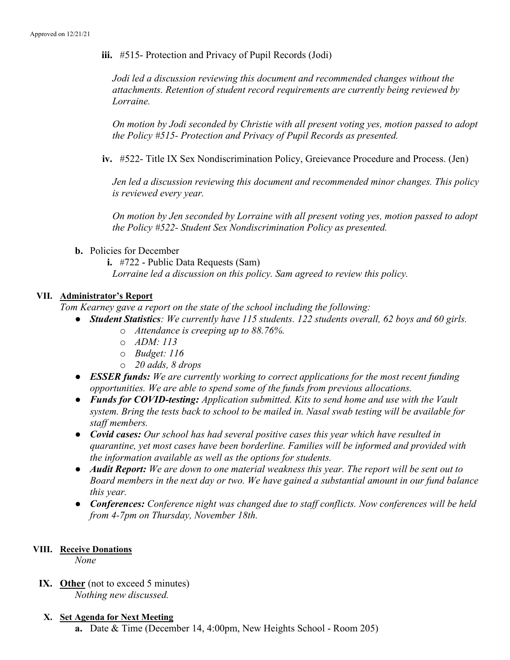iii. #515- Protection and Privacy of Pupil Records (Jodi)

Jodi led a discussion reviewing this document and recommended changes without the attachments. Retention of student record requirements are currently being reviewed by Lorraine.

On motion by Jodi seconded by Christie with all present voting yes, motion passed to adopt the Policy #515- Protection and Privacy of Pupil Records as presented.

iv. #522- Title IX Sex Nondiscrimination Policy, Greievance Procedure and Process. (Jen)

Jen led a discussion reviewing this document and recommended minor changes. This policy is reviewed every year.

On motion by Jen seconded by Lorraine with all present voting yes, motion passed to adopt the Policy #522- Student Sex Nondiscrimination Policy as presented.

b. Policies for December

i. #722 - Public Data Requests (Sam)

Lorraine led a discussion on this policy. Sam agreed to review this policy.

## VII. Administrator's Report

Tom Kearney gave a report on the state of the school including the following:

- Student Statistics: We currently have 115 students. 122 students overall, 62 boys and 60 girls.
	- o Attendance is creeping up to 88.76%.
	- o ADM: 113
	- o Budget: 116
	- o 20 adds, 8 drops
- ESSER funds: We are currently working to correct applications for the most recent funding opportunities. We are able to spend some of the funds from previous allocations.
- Funds for COVID-testing: Application submitted. Kits to send home and use with the Vault system. Bring the tests back to school to be mailed in. Nasal swab testing will be available for staff members.
- Covid cases: Our school has had several positive cases this year which have resulted in quarantine, yet most cases have been borderline. Families will be informed and provided with the information available as well as the options for students.
- Audit Report: We are down to one material weakness this year. The report will be sent out to Board members in the next day or two. We have gained a substantial amount in our fund balance this year.
- Conferences: Conference night was changed due to staff conflicts. Now conferences will be held from 4-7pm on Thursday, November 18th.

#### VIII. Receive Donations

None

IX. Other (not to exceed 5 minutes) Nothing new discussed.

#### X. Set Agenda for Next Meeting

a. Date & Time (December 14, 4:00pm, New Heights School - Room 205)